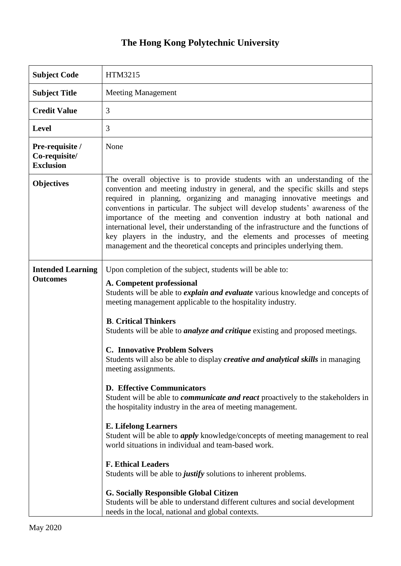## **The Hong Kong Polytechnic University**

| <b>Subject Code</b>                                  | HTM3215                                                                                                                                                                                                                                                                                                                                                                                                                                                                                                                                                                                                                                                                                                                                                                                                                                                                                                                                                                                                                                                                 |
|------------------------------------------------------|-------------------------------------------------------------------------------------------------------------------------------------------------------------------------------------------------------------------------------------------------------------------------------------------------------------------------------------------------------------------------------------------------------------------------------------------------------------------------------------------------------------------------------------------------------------------------------------------------------------------------------------------------------------------------------------------------------------------------------------------------------------------------------------------------------------------------------------------------------------------------------------------------------------------------------------------------------------------------------------------------------------------------------------------------------------------------|
| <b>Subject Title</b>                                 | <b>Meeting Management</b>                                                                                                                                                                                                                                                                                                                                                                                                                                                                                                                                                                                                                                                                                                                                                                                                                                                                                                                                                                                                                                               |
| <b>Credit Value</b>                                  | 3                                                                                                                                                                                                                                                                                                                                                                                                                                                                                                                                                                                                                                                                                                                                                                                                                                                                                                                                                                                                                                                                       |
| <b>Level</b>                                         | 3                                                                                                                                                                                                                                                                                                                                                                                                                                                                                                                                                                                                                                                                                                                                                                                                                                                                                                                                                                                                                                                                       |
| Pre-requisite /<br>Co-requisite/<br><b>Exclusion</b> | None                                                                                                                                                                                                                                                                                                                                                                                                                                                                                                                                                                                                                                                                                                                                                                                                                                                                                                                                                                                                                                                                    |
| <b>Objectives</b>                                    | The overall objective is to provide students with an understanding of the<br>convention and meeting industry in general, and the specific skills and steps<br>required in planning, organizing and managing innovative meetings and<br>conventions in particular. The subject will develop students' awareness of the<br>importance of the meeting and convention industry at both national and<br>international level, their understanding of the infrastructure and the functions of<br>key players in the industry, and the elements and processes of meeting<br>management and the theoretical concepts and principles underlying them.                                                                                                                                                                                                                                                                                                                                                                                                                             |
| <b>Intended Learning</b><br><b>Outcomes</b>          | Upon completion of the subject, students will be able to:<br>A. Competent professional<br>Students will be able to <i>explain and evaluate</i> various knowledge and concepts of<br>meeting management applicable to the hospitality industry.<br><b>B. Critical Thinkers</b><br>Students will be able to <i>analyze and critique</i> existing and proposed meetings.<br><b>C. Innovative Problem Solvers</b><br>Students will also be able to display <i>creative and analytical skills</i> in managing<br>meeting assignments.<br><b>D. Effective Communicators</b><br>Student will be able to <i>communicate and react</i> proactively to the stakeholders in<br>the hospitality industry in the area of meeting management.<br><b>E. Lifelong Learners</b><br>Student will be able to <i>apply</i> knowledge/concepts of meeting management to real<br>world situations in individual and team-based work.<br><b>F. Ethical Leaders</b><br>Students will be able to <i>justify</i> solutions to inherent problems.<br><b>G. Socially Responsible Global Citizen</b> |
|                                                      | Students will be able to understand different cultures and social development<br>needs in the local, national and global contexts.                                                                                                                                                                                                                                                                                                                                                                                                                                                                                                                                                                                                                                                                                                                                                                                                                                                                                                                                      |